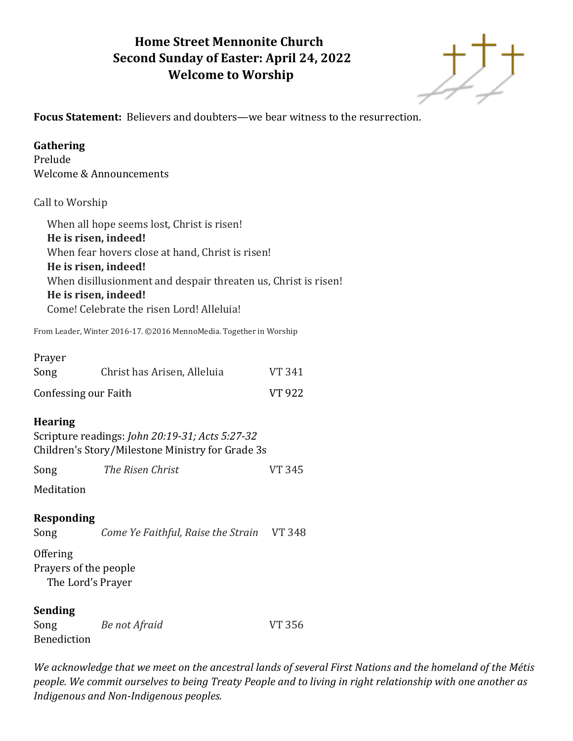# **Home Street Mennonite Church Second Sunday of Easter: April 24, 2022 Welcome to Worship**



**Focus Statement:** Believers and doubters—we bear witness to the resurrection.

# **Gathering**

Prelude Welcome & Announcements

# Call to Worship

When all hope seems lost, Christ is risen! **He is risen, indeed!** When fear hovers close at hand, Christ is risen! **He is risen, indeed!** When disillusionment and despair threaten us, Christ is risen! **He is risen, indeed!** Come! Celebrate the risen Lord! Alleluia!

From Leader, Winter 2016-17. ©2016 MennoMedia. Together in Worship

| Prayer |                             |               |
|--------|-----------------------------|---------------|
| Song   | Christ has Arisen, Alleluia | <b>VT 341</b> |
|        | Confessing our Faith        | <b>VT 922</b> |

# **Hearing**

Scripture readings: *John 20:19-31; Acts 5:27-32* Children's Story/Milestone Ministry for Grade 3s

Song *The Risen Christ* VT 345

**Meditation** 

**Responding**

Song *Come Ye Faithful, Raise the Strain* VT 348

**Offering** Prayers of the people The Lord's Prayer

### **Sending**

| Song               | Be not Afraid | <b>VT 356</b> |
|--------------------|---------------|---------------|
| <b>Benediction</b> |               |               |

*We acknowledge that we meet on the ancestral lands of several First Nations and the homeland of the Métis people. We commit ourselves to being Treaty People and to living in right relationship with one another as Indigenous and Non-Indigenous peoples.*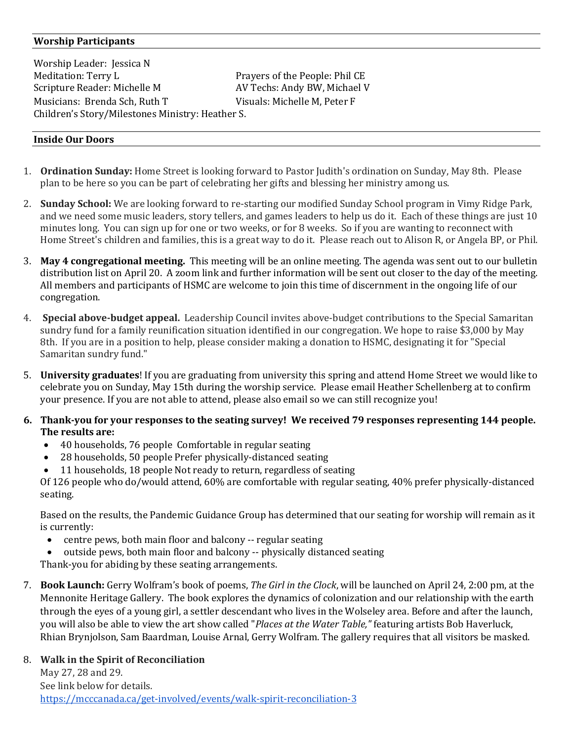### **Worship Participants**

Worship Leader: Jessica N Meditation: Terry L **Prayers of the People: Phil CE** Scripture Reader: Michelle M AV Techs: Andy BW, Michael V Musicians: Brenda Sch, Ruth T Visuals: Michelle M, Peter F Children's Story/Milestones Ministry: Heather S.

#### **Inside Our Doors**

- 1. **Ordination Sunday:** Home Street is looking forward to Pastor Judith's ordination on Sunday, May 8th. Please plan to be here so you can be part of celebrating her gifts and blessing her ministry among us.
- 2. **Sunday School:** We are looking forward to re-starting our modified Sunday School program in Vimy Ridge Park, and we need some music leaders, story tellers, and games leaders to help us do it. Each of these things are just 10 minutes long. You can sign up for one or two weeks, or for 8 weeks. So if you are wanting to reconnect with Home Street's children and families, this is a great way to do it. Please reach out to Alison R, or Angela BP, or Phil.
- 3. **May 4 congregational meeting.** This meeting will be an online meeting. The agenda was sent out to our bulletin distribution list on April 20. A zoom link and further information will be sent out closer to the day of the meeting. All members and participants of HSMC are welcome to join this time of discernment in the ongoing life of our congregation.
- 4. **Special above-budget appeal.** Leadership Council invites above-budget contributions to the Special Samaritan sundry fund for a family reunification situation identified in our congregation. We hope to raise \$3,000 by May 8th. If you are in a position to help, please consider making a donation to HSMC, designating it for "Special Samaritan sundry fund."
- 5. **University graduates**! If you are graduating from university this spring and attend Home Street we would like to celebrate you on Sunday, May 15th during the worship service. Please email Heather Schellenberg at to confirm your presence. If you are not able to attend, please also email so we can still recognize you!
- **6. Thank-you for your responses to the seating survey! We received 79 responses representing 144 people. The results are:**
	- 40 households, 76 people Comfortable in regular seating
	- 28 households, 50 people Prefer physically-distanced seating
	- 11 households, 18 people Not ready to return, regardless of seating

Of 126 people who do/would attend, 60% are comfortable with regular seating, 40% prefer physically-distanced seating.

Based on the results, the Pandemic Guidance Group has determined that our seating for worship will remain as it is currently:

- centre pews, both main floor and balcony -- regular seating
- outside pews, both main floor and balcony -- physically distanced seating

Thank-you for abiding by these seating arrangements.

7. **Book Launch:** Gerry Wolfram's book of poems, *The Girl in the Clock*, will be launched on April 24, 2:00 pm, at the Mennonite Heritage Gallery. The book explores the dynamics of colonization and our relationship with the earth through the eyes of a young girl, a settler descendant who lives in the Wolseley area. Before and after the launch, you will also be able to view the art show called "*Places at the Water Table,"* featuring artists Bob Haverluck, Rhian Brynjolson, Sam Baardman, Louise Arnal, Gerry Wolfram. The gallery requires that all visitors be masked.

### 8. **Walk in the Spirit of Reconciliation**

May 27, 28 and 29. See link below for details. <https://mcccanada.ca/get-involved/events/walk-spirit-reconciliation-3>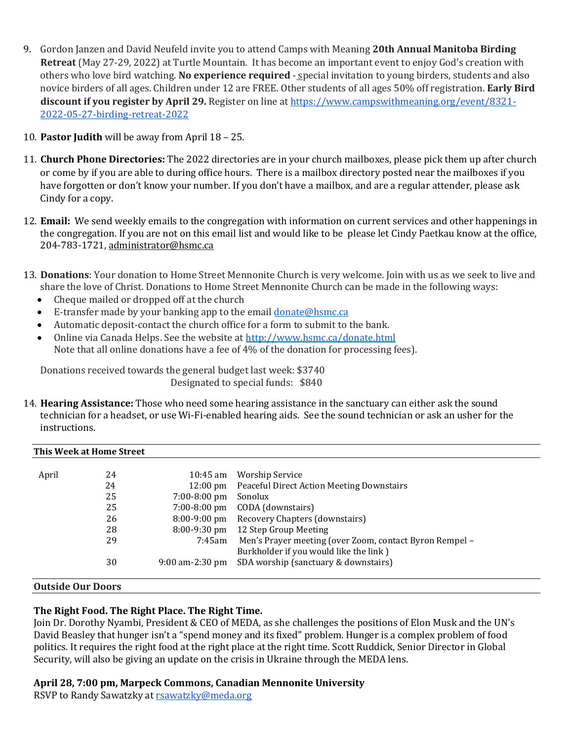- 9. Gordon Janzen and David Neufeld invite you to attend Camps with Meaning **20th Annual Manitoba Birding Retreat** (May 27-29, 2022) at Turtle Mountain. It has become an important event to enjoy God's creation with others who love bird watching. **No experience required** - special invitation to young birders, students and also novice birders of all ages. Children under 12 are FREE. Other students of all ages 50% off registration. **Early Bird discount if you register by April 29.** Register on line at [https://www.campswithmeaning.org/event/8321-](https://www.campswithmeaning.org/event/8321-2022-05-27-birding-retreat-2022) [2022-05-27-birding-retreat-2022](https://www.campswithmeaning.org/event/8321-2022-05-27-birding-retreat-2022)
- 10. **Pastor Judith** will be away from April 18 25.
- 11. **Church Phone Directories:** The 2022 directories are in your church mailboxes, please pick them up after church or come by if you are able to during office hours. There is a mailbox directory posted near the mailboxes if you have forgotten or don't know your number. If you don't have a mailbox, and are a regular attender, please ask Cindy for a copy.
- 12. **Email:** We send weekly emails to the congregation with information on current services and other happenings in the congregation. If you are not on this email list and would like to be please let Cindy Paetkau know at the office, 204-783-1721, [administrator@hsmc.ca](mailto:administrator@hsmc.ca)
- 13. **Donations**: Your donation to Home Street Mennonite Church is very welcome. Join with us as we seek to live and share the love of Christ. Donations to Home Street Mennonite Church can be made in the following ways:
	- Cheque mailed or dropped off at the church
	- E-transfer made by your banking app to the email [donate@hsmc.ca](mailto:donate@hsmc.ca)
	- Automatic deposit-contact the church office for a form to submit to the bank.
	- Online via Canada Helps. See the website a[t http://www.hsmc.ca/donate.html](http://www.hsmc.ca/donate.html) Note that all online donations have a fee of 4% of the donation for processing fees).

Donations received towards the general budget last week: \$3740 Designated to special funds: \$840

14. **Hearing Assistance:** Those who need some hearing assistance in the sanctuary can either ask the sound technician for a headset, or use Wi-Fi-enabled hearing aids. See the sound technician or ask an usher for the instructions.

| This Week at Home Street |    |                    |                                                         |  |
|--------------------------|----|--------------------|---------------------------------------------------------|--|
| April                    | 24 | $10:45$ am         |                                                         |  |
|                          |    |                    | Worship Service                                         |  |
|                          | 24 | $12:00 \text{ pm}$ | <b>Peaceful Direct Action Meeting Downstairs</b>        |  |
|                          | 25 | $7:00 - 8:00$ pm   | Sonolux                                                 |  |
|                          | 25 | $7:00 - 8:00$ pm   | CODA (downstairs)                                       |  |
|                          | 26 | $8:00-9:00$ pm     | Recovery Chapters (downstairs)                          |  |
|                          | 28 | $8:00-9:30$ pm     | 12 Step Group Meeting                                   |  |
|                          | 29 | 7:45am             | Men's Prayer meeting (over Zoom, contact Byron Rempel - |  |
|                          |    |                    | Burkholder if you would like the link)                  |  |
|                          | 30 | $9:00$ am-2:30 pm  | SDA worship (sanctuary & downstairs)                    |  |
|                          |    |                    |                                                         |  |

#### **Outside Our Doors**

### **The Right Food. The Right Place. The Right Time.**

Join Dr. Dorothy Nyambi, President & CEO of MEDA, as she challenges the positions of Elon Musk and the UN's David Beasley that hunger isn't a "spend money and its fixed" problem. Hunger is a complex problem of food politics. It requires the right food at the right place at the right time. Scott Ruddick, Senior Director in Global Security, will also be giving an update on the crisis in Ukraine through the MEDA lens.

#### **April 28, 7:00 pm, Marpeck Commons, Canadian Mennonite University**

RSVP to Randy Sawatzky at [rsawatzky@meda.org](mailto:rsawatzky@meda.org)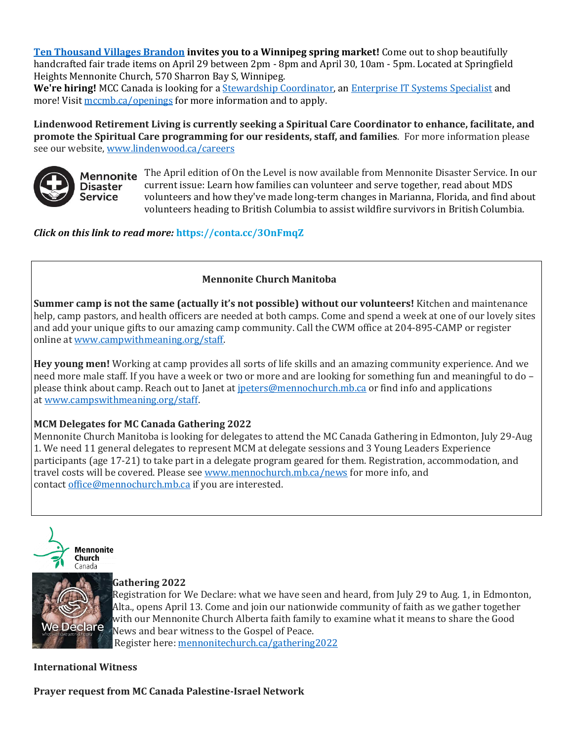**[Ten Thousand Villages Brandon](https://mennonitecentralcommittee.cmail20.com/t/i-l-culhhlk-tjhliklilh-i/) invites you to a Winnipeg spring market!** Come out to shop beautifully handcrafted fair trade items on April 29 between 2pm - 8pm and April 30, 10am - 5pm. Located at Springfield Heights Mennonite Church, 570 Sharron Bay S, Winnipeg.

We're hiring! MCC Canada is looking for a **Stewardship Coordinator**, an **[Enterprise IT Systems Specialist](https://mennonitecentralcommittee.cmail20.com/t/i-l-culhhlk-tjhliklilh-h/)** and more! Visit [mccmb.ca/openings](https://mennonitecentralcommittee.cmail20.com/t/i-l-culhhlk-tjhliklilh-k/) for more information and to apply.

**Lindenwood Retirement Living is currently seeking a Spiritual Care Coordinator to enhance, facilitate, and promote the Spiritual Care programming for our residents, staff, and families**. For more information please see our website, [www.lindenwood.ca/careers](http://www.lindenwood.ca/careers)



**Disaster Service** 

Mennonite The April edition of On the Level is now available from Mennonite Disaster Service. In our current issue: Learn how families can volunteer and serve together, read about MDS volunteers and how they've made long-term changes in Marianna, Florida, and find about volunteers heading to British Columbia to assist wildfire survivors in British Columbia.

*Click on this link to read more:* **[https://conta.cc/3OnFmqZ](https://r20.rs6.net/tn.jsp?f=001WXKNZjndJ1byyFMw8oyoCQDIL1rJRo2qAzzvKRbgR0CtnNIPNlpHlrfIQfx3tDe44cVIMYOlXF-VtqWXIQTftzpOi_uL6sKD257AGAGpkazHIBVhBVfa11PNJqwSid3R8SkGVpbBggoSrzP5oLXKuw==&c=9L57UfC3wXPXyrDskznT6xanpg8iFufXpvT8fmJkzniWLtUY2gGw0Q==&ch=v8I-DGjuYsbl4mvrE9fZUNmBvlk4Cxta7O_NRjEq3yzEhfUgdblFQA==)**

### **Mennonite Church Manitoba**

**Summer camp is not the same (actually it's not possible) without our volunteers!** Kitchen and maintenance help, camp pastors, and health officers are needed at both camps. Come and spend a week at one of our lovely sites and add your unique gifts to our amazing camp community. Call the CWM office at 204-895-CAMP or register online at [www.campwithmeaning.org/staff.](https://mennochurch.us17.list-manage.com/track/click?u=ad5b62cc11dbd51616d36b2e2&id=c37c9706a8&e=e5164c07cf)

**Hey young men!** Working at camp provides all sorts of life skills and an amazing community experience. And we need more male staff. If you have a week or two or more and are looking for something fun and meaningful to do – please think about camp. Reach out to Janet at [jpeters@mennochurch.mb.ca](mailto:jpeters@mennochurch.mb.ca) or find info and applications at [www.campswithmeaning.org/staff.](https://mennochurch.us17.list-manage.com/track/click?u=ad5b62cc11dbd51616d36b2e2&id=bd8560e2cf&e=e5164c07cf)

# **MCM Delegates for MC Canada Gathering 2022**

Mennonite Church Manitoba is looking for delegates to attend the MC Canada Gathering in Edmonton, July 29-Aug 1. We need 11 general delegates to represent MCM at delegate sessions and 3 Young Leaders Experience participants (age 17-21) to take part in a delegate program geared for them. Registration, accommodation, and travel costs will be covered. Please see [www.mennochurch.mb.ca/news](https://mennochurch.us17.list-manage.com/track/click?u=ad5b62cc11dbd51616d36b2e2&id=bf90f09870&e=e5164c07cf) for more info, and contact [office@mennochurch.mb.ca](mailto:office@mennochurch.mb.ca) if you are interested.





#### **Gathering 2022**

Registration for We Declare: what we have seen and heard, from July 29 to Aug. 1, in Edmonton, Alta., opens April 13. Come and join our nationwide community of faith as we gather together with our Mennonite Church Alberta faith family to examine what it means to share the Good Declare News and bear witness to the Gospel of Peace. Register here: [mennonitechurch.ca/gathering2022](https://mennochurch.us17.list-manage.com/track/click?u=ad5b62cc11dbd51616d36b2e2&id=a09d5fe7cc&e=e5164c07cf)

**International Witness**

**Prayer request from MC Canada Palestine-Israel Network**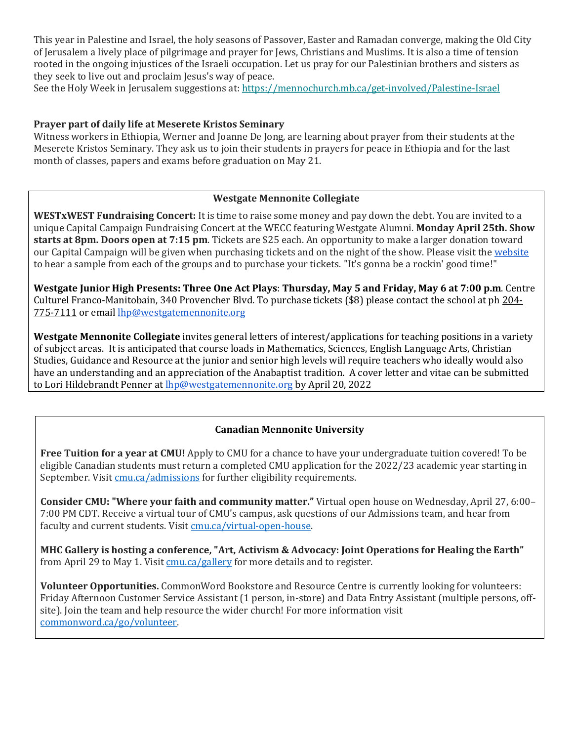This year in Palestine and Israel, the holy seasons of Passover, Easter and Ramadan converge, making the Old City of Jerusalem a lively place of pilgrimage and prayer for Jews, Christians and Muslims. It is also a time of tension rooted in the ongoing injustices of the Israeli occupation. Let us pray for our Palestinian brothers and sisters as they seek to live out and proclaim Jesus's way of peace.

See the Holy Week in Jerusalem suggestions at: [https://mennochurch.mb.ca/get-involved/Palestine-Israel](https://mennochurch.us17.list-manage.com/track/click?u=ad5b62cc11dbd51616d36b2e2&id=8e4c84859c&e=e5164c07cf)

### **Prayer part of daily life at Meserete Kristos Seminary**

Witness workers in Ethiopia, Werner and Joanne De Jong, are learning about prayer from their students at the Meserete Kristos Seminary. They ask us to join their students in prayers for peace in Ethiopia and for the last month of classes, papers and exams before graduation on May 21.

### **Westgate Mennonite Collegiate**

**WESTxWEST Fundraising Concert:** It is time to raise some money and pay down the debt. You are invited to a unique Capital Campaign Fundraising Concert at the WECC featuring Westgate Alumni. **Monday April 25th. Show starts at 8pm. Doors open at 7:15 pm**. Tickets are \$25 each. An opportunity to make a larger donation toward our Capital Campaign will be given when purchasing tickets and on the night of the show. Please visit th[e website](https://westgatemennonite.ca/2022/03/westxwest-fundraising-concert/) to hear a sample from each of the groups and to purchase your tickets. "It's gonna be a rockin' good time!"

**Westgate Junior High Presents: Three One Act Plays**: **Thursday, May 5 and Friday, May 6 at 7:00 p.m**. Centre Culturel Franco-Manitobain, 340 Provencher Blvd. To purchase tickets (\$8) please contact the school at ph [204-](tel:2047757111) [775-7111](tel:2047757111) or email [lhp@westgatemennonite.org](mailto:lhp@westgatemennonite.org)

**Westgate Mennonite Collegiate** invites general letters of interest/applications for teaching positions in a variety of subject areas. It is anticipated that course loads in Mathematics, Sciences, English Language Arts, Christian Studies, Guidance and Resource at the junior and senior high levels will require teachers who ideally would also have an understanding and an appreciation of the Anabaptist tradition. A cover letter and vitae can be submitted to Lori Hildebrandt Penner at **[lhp@westgatemennonite.org](mailto:lhp@westgatemennonite.org)** by April 20, 2022

### **Canadian Mennonite University**

**Free Tuition for a year at CMU!** Apply to CMU for a chance to have your undergraduate tuition covered! To be eligible Canadian students must return a completed CMU application for the 2022/23 academic year starting in September. Visi[t cmu.ca/admissions](http://cmu.ca/admissions) for further eligibility requirements.

**Consider CMU: "Where your faith and community matter."** Virtual open house on Wednesday, April 27, 6:00– 7:00 PM CDT. Receive a virtual tour of CMU's campus, ask questions of our Admissions team, and hear from faculty and current students. Visit [cmu.ca/virtual-open-house.](http://cmu.ca/virtual-open-house)

**MHC Gallery is hosting a conference, "Art, Activism & Advocacy: Joint Operations for Healing the Earth"** from April 29 to May 1. Visit [cmu.ca/gallery](http://cmu.ca/gallery) for more details and to register.

**Volunteer Opportunities.** CommonWord Bookstore and Resource Centre is currently looking for volunteers: Friday Afternoon Customer Service Assistant (1 person, in-store) and Data Entry Assistant (multiple persons, offsite). Join the team and help resource the wider church! For more information visit [commonword.ca/go/volunteer.](http://commonword.ca/go/volunteer)